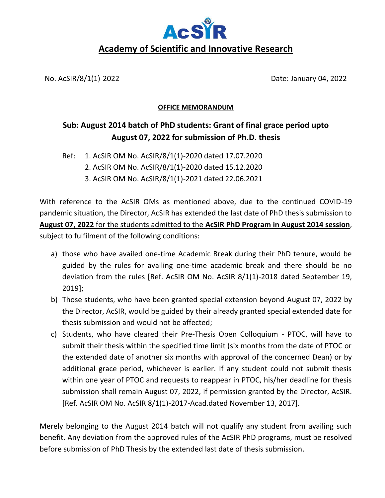

No. AcSIR/8/1(1)-2022 Date: January 04, 2022

## **OFFICE MEMORANDUM**

## **Sub: August 2014 batch of PhD students: Grant of final grace period upto August 07, 2022 for submission of Ph.D. thesis**

Ref: 1. AcSIR OM No. AcSIR/8/1(1)-2020 dated 17.07.2020

- 2. AcSIR OM No. AcSIR/8/1(1)-2020 dated 15.12.2020
- 3. AcSIR OM No. AcSIR/8/1(1)-2021 dated 22.06.2021

With reference to the AcSIR OMs as mentioned above, due to the continued COVID-19 pandemic situation, the Director, AcSIR has extended the last date of PhD thesis submission to **August 07, 2022** for the students admitted to the **AcSIR PhD Program in August 2014 session**, subject to fulfilment of the following conditions:

- a) those who have availed one-time Academic Break during their PhD tenure, would be guided by the rules for availing one-time academic break and there should be no deviation from the rules [Ref. AcSIR OM No. AcSIR 8/1(1)-2018 dated September 19, 2019];
- b) Those students, who have been granted special extension beyond August 07, 2022 by the Director, AcSIR, would be guided by their already granted special extended date for thesis submission and would not be affected;
- c) Students, who have cleared their Pre-Thesis Open Colloquium PTOC, will have to submit their thesis within the specified time limit (six months from the date of PTOC or the extended date of another six months with approval of the concerned Dean) or by additional grace period, whichever is earlier. If any student could not submit thesis within one year of PTOC and requests to reappear in PTOC, his/her deadline for thesis submission shall remain August 07, 2022, if permission granted by the Director, AcSIR. [Ref. AcSIR OM No. AcSIR 8/1(1)-2017-Acad.dated November 13, 2017].

Merely belonging to the August 2014 batch will not qualify any student from availing such benefit. Any deviation from the approved rules of the AcSIR PhD programs, must be resolved before submission of PhD Thesis by the extended last date of thesis submission.